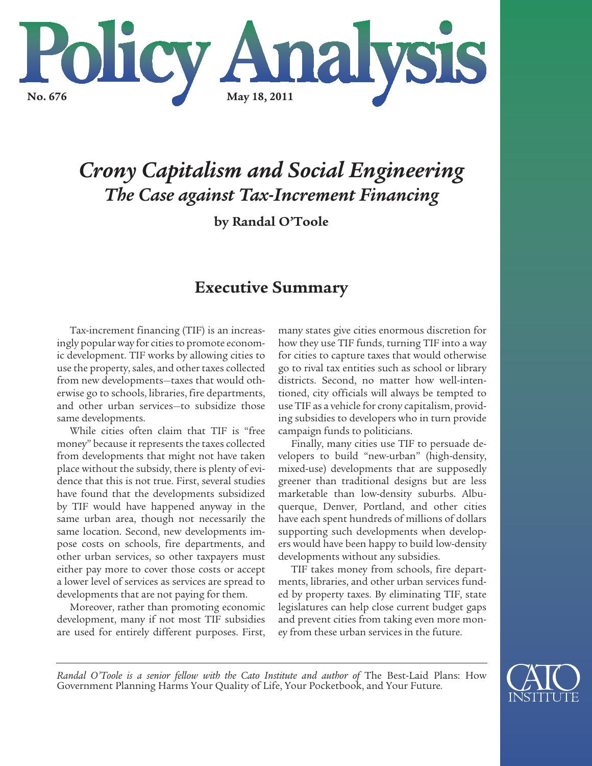

# *Crony Capitalism and Social Engineering The Case against Tax-Increment Financing*

**by Randal O'Toole**

# **Executive Summary**

Tax-increment financing (TIF) is an increasingly popular way for cities to promote economic development. TIF works by allowing cities to use the property, sales, and other taxes collected from new developments—taxes that would otherwise go to schools, libraries, fire departments, and other urban services—to subsidize those same developments.

While cities often claim that TIF is "free money" because it represents the taxes collected from developments that might not have taken place without the subsidy, there is plenty of evidence that this is not true. First, several studies have found that the developments subsidized by TIF would have happened anyway in the same urban area, though not necessarily the same location. Second, new developments impose costs on schools, fire departments, and other urban services, so other taxpayers must either pay more to cover those costs or accept a lower level of services as services are spread to developments that are not paying for them.

Moreover, rather than promoting economic development, many if not most TIF subsidies are used for entirely different purposes. First,

many states give cities enormous discretion for how they use TIF funds, turning TIF into a way for cities to capture taxes that would otherwise go to rival tax entities such as school or library districts. Second, no matter how well-intentioned, city officials will always be tempted to use TIF as a vehicle for crony capitalism, providing subsidies to developers who in turn provide campaign funds to politicians.

Finally, many cities use TIF to persuade developers to build "new-urban" (high-density, mixed-use) developments that are supposedly greener than traditional designs but are less marketable than low-density suburbs. Albuquerque, Denver, Portland, and other cities have each spent hundreds of millions of dollars supporting such developments when developers would have been happy to build low-density developments without any subsidies.

TIF takes money from schools, fire departments, libraries, and other urban services funded by property taxes. By eliminating TIF, state legislatures can help close current budget gaps and prevent cities from taking even more money from these urban services in the future.

*Randal O'Toole is a senior fellow with the Cato Institute and author of* The Best-Laid Plans: How Government Planning Harms Your Quality of Life, Your Pocketbook, and Your Future*.* 

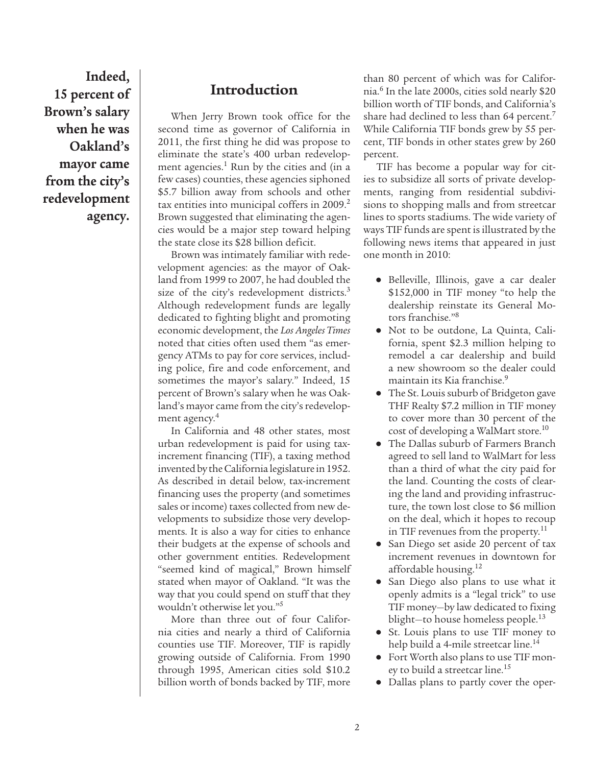**Indeed, 15 percent of Brown's salary when he was Oakland's mayor came from the city's redevelopment agency.**

## **Introduction**

When Jerry Brown took office for the second time as governor of California in 2011, the first thing he did was propose to eliminate the state's 400 urban redevelopment agencies.<sup>1</sup> Run by the cities and (in a few cases) counties, these agencies siphoned \$5.7 billion away from schools and other tax entities into municipal coffers in 2009.<sup>2</sup> Brown suggested that eliminating the agencies would be a major step toward helping the state close its \$28 billion deficit.

Brown was intimately familiar with redevelopment agencies: as the mayor of Oakland from 1999 to 2007, he had doubled the size of the city's redevelopment districts.<sup>3</sup> Although redevelopment funds are legally dedicated to fighting blight and promoting economic development, the *Los Angeles Times* noted that cities often used them "as emergency ATMs to pay for core services, including police, fire and code enforcement, and sometimes the mayor's salary." Indeed, 15 percent of Brown's salary when he was Oakland's mayor came from the city's redevelopment agency.<sup>4</sup>

In California and 48 other states, most urban redevelopment is paid for using taxincrement financing (TIF), a taxing method invented by the California legislature in 1952. As described in detail below, tax-increment financing uses the property (and sometimes sales or income) taxes collected from new developments to subsidize those very developments. It is also a way for cities to enhance their budgets at the expense of schools and other government entities. Redevelopment "seemed kind of magical," Brown himself stated when mayor of Oakland. "It was the way that you could spend on stuff that they wouldn't otherwise let you."5

More than three out of four California cities and nearly a third of California counties use TIF. Moreover, TIF is rapidly growing outside of California. From 1990 through 1995, American cities sold \$10.2 billion worth of bonds backed by TIF, more than 80 percent of which was for California.6 In the late 2000s, cities sold nearly \$20 billion worth of TIF bonds, and California's share had declined to less than 64 percent.<sup>7</sup> While California TIF bonds grew by 55 percent, TIF bonds in other states grew by 260 percent.

TIF has become a popular way for cities to subsidize all sorts of private developments, ranging from residential subdivisions to shopping malls and from streetcar lines to sports stadiums. The wide variety of ways TIF funds are spent is illustrated by the following news items that appeared in just one month in 2010:

- **●** Belleville, Illinois, gave a car dealer \$152,000 in TIF money "to help the dealership reinstate its General Motors franchise."8
- **●** Not to be outdone, La Quinta, California, spent \$2.3 million helping to remodel a car dealership and build a new showroom so the dealer could maintain its Kia franchise.<sup>9</sup>
- **●** The St. Louis suburb of Bridgeton gave THF Realty \$7.2 million in TIF money to cover more than 30 percent of the cost of developing a WalMart store.<sup>10</sup>
- **●** The Dallas suburb of Farmers Branch agreed to sell land to WalMart for less than a third of what the city paid for the land. Counting the costs of clearing the land and providing infrastructure, the town lost close to \$6 million on the deal, which it hopes to recoup in TIF revenues from the property.<sup>11</sup>
- **●** San Diego set aside 20 percent of tax increment revenues in downtown for affordable housing.<sup>12</sup>
- **●** San Diego also plans to use what it openly admits is a "legal trick" to use TIF money—by law dedicated to fixing blight—to house homeless people.13
- **●** St. Louis plans to use TIF money to help build a 4-mile streetcar line.<sup>14</sup>
- **●** Fort Worth also plans to use TIF money to build a streetcar line.<sup>15</sup>
- **●** Dallas plans to partly cover the oper-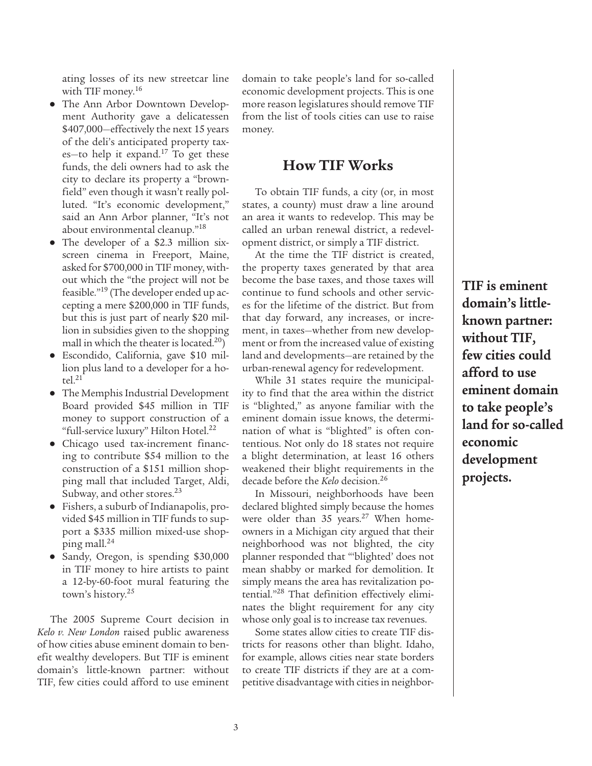ating losses of its new streetcar line with TIF money.<sup>16</sup>

- **●** The Ann Arbor Downtown Development Authority gave a delicatessen \$407,000—effectively the next 15 years of the deli's anticipated property taxes-to help it expand.<sup>17</sup> To get these funds, the deli owners had to ask the city to declare its property a "brownfield" even though it wasn't really polluted. "It's economic development," said an Ann Arbor planner, "It's not about environmental cleanup."18
- **●** The developer of a \$2.3 million sixscreen cinema in Freeport, Maine, asked for \$700,000 in TIF money, without which the "the project will not be feasible."<sup>19</sup> (The developer ended up accepting a mere \$200,000 in TIF funds, but this is just part of nearly \$20 million in subsidies given to the shopping mall in which the theater is located.<sup>20</sup>)
- **●** Escondido, California, gave \$10 million plus land to a developer for a hotel $^{21}$
- **●** The Memphis Industrial Development Board provided \$45 million in TIF money to support construction of a "full-service luxury" Hilton Hotel.<sup>22</sup>
- **●** Chicago used tax-increment financing to contribute \$54 million to the construction of a \$151 million shopping mall that included Target, Aldi, Subway, and other stores.<sup>23</sup>
- **●** Fishers, a suburb of Indianapolis, provided \$45 million in TIF funds to support a \$335 million mixed-use shopping mall.24
- **●** Sandy, Oregon, is spending \$30,000 in TIF money to hire artists to paint a 12-by-60-foot mural featuring the town's history.<sup>25</sup>

The 2005 Supreme Court decision in *Kelo v. New London* raised public awareness of how cities abuse eminent domain to benefit wealthy developers. But TIF is eminent domain's little-known partner: without TIF, few cities could afford to use eminent domain to take people's land for so-called economic development projects. This is one more reason legislatures should remove TIF from the list of tools cities can use to raise money.

#### **How TIF Works**

To obtain TIF funds, a city (or, in most states, a county) must draw a line around an area it wants to redevelop. This may be called an urban renewal district, a redevelopment district, or simply a TIF district.

At the time the TIF district is created, the property taxes generated by that area become the base taxes, and those taxes will continue to fund schools and other services for the lifetime of the district. But from that day forward, any increases, or increment, in taxes—whether from new development or from the increased value of existing land and developments—are retained by the urban-renewal agency for redevelopment.

While 31 states require the municipality to find that the area within the district is "blighted," as anyone familiar with the eminent domain issue knows, the determination of what is "blighted" is often contentious. Not only do 18 states not require a blight determination, at least 16 others weakened their blight requirements in the decade before the *Kelo* decision.26

In Missouri, neighborhoods have been declared blighted simply because the homes were older than  $35$  years.<sup>27</sup> When homeowners in a Michigan city argued that their neighborhood was not blighted, the city planner responded that "'blighted' does not mean shabby or marked for demolition. It simply means the area has revitalization potential."28 That definition effectively eliminates the blight requirement for any city whose only goal is to increase tax revenues.

Some states allow cities to create TIF districts for reasons other than blight. Idaho, for example, allows cities near state borders to create TIF districts if they are at a competitive disadvantage with cities in neighbor**TIF is eminent domain's littleknown partner: without TIF, few cities could afford to use eminent domain to take people's land for so-called economic development projects.**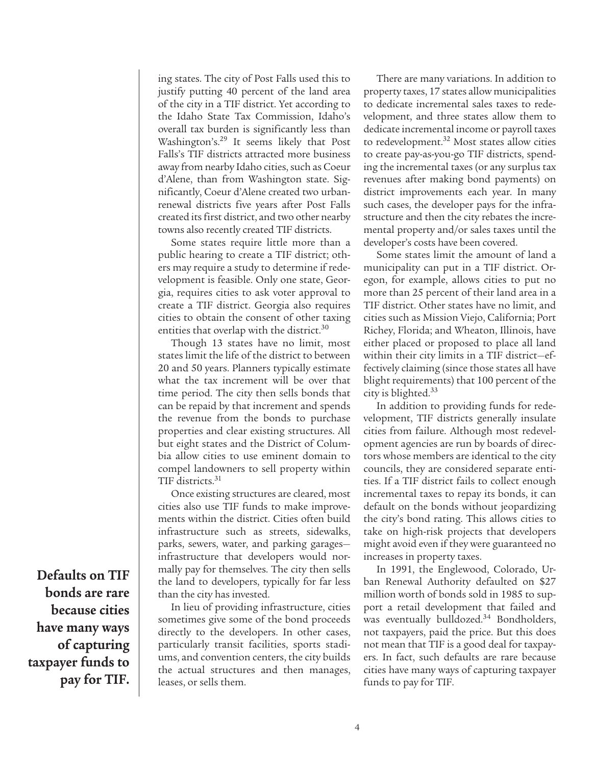ing states. The city of Post Falls used this to justify putting 40 percent of the land area of the city in a TIF district. Yet according to the Idaho State Tax Commission, Idaho's overall tax burden is significantly less than Washington's.29 It seems likely that Post Falls's TIF districts attracted more business away from nearby Idaho cities, such as Coeur d'Alene, than from Washington state. Significantly, Coeur d'Alene created two urbanrenewal districts five years after Post Falls created its first district, and two other nearby towns also recently created TIF districts.

Some states require little more than a public hearing to create a TIF district; others may require a study to determine if redevelopment is feasible. Only one state, Georgia, requires cities to ask voter approval to create a TIF district. Georgia also requires cities to obtain the consent of other taxing entities that overlap with the district.<sup>30</sup>

Though 13 states have no limit, most states limit the life of the district to between 20 and 50 years. Planners typically estimate what the tax increment will be over that time period. The city then sells bonds that can be repaid by that increment and spends the revenue from the bonds to purchase properties and clear existing structures. All but eight states and the District of Columbia allow cities to use eminent domain to compel landowners to sell property within TIF districts.<sup>31</sup>

Once existing structures are cleared, most cities also use TIF funds to make improvements within the district. Cities often build infrastructure such as streets, sidewalks, parks, sewers, water, and parking garages infrastructure that developers would normally pay for themselves. The city then sells the land to developers, typically for far less than the city has invested.

In lieu of providing infrastructure, cities sometimes give some of the bond proceeds directly to the developers. In other cases, particularly transit facilities, sports stadiums, and convention centers, the city builds the actual structures and then manages, leases, or sells them.

There are many variations. In addition to property taxes, 17 states allow municipalities to dedicate incremental sales taxes to redevelopment, and three states allow them to dedicate incremental income or payroll taxes to redevelopment.<sup>32</sup> Most states allow cities to create pay-as-you-go TIF districts, spending the incremental taxes (or any surplus tax revenues after making bond payments) on district improvements each year. In many such cases, the developer pays for the infrastructure and then the city rebates the incremental property and/or sales taxes until the developer's costs have been covered.

Some states limit the amount of land a municipality can put in a TIF district. Oregon, for example, allows cities to put no more than 25 percent of their land area in a TIF district. Other states have no limit, and cities such as Mission Viejo, California; Port Richey, Florida; and Wheaton, Illinois, have either placed or proposed to place all land within their city limits in a TIF district—effectively claiming (since those states all have blight requirements) that 100 percent of the city is blighted.33

In addition to providing funds for redevelopment, TIF districts generally insulate cities from failure. Although most redevelopment agencies are run by boards of directors whose members are identical to the city councils, they are considered separate entities. If a TIF district fails to collect enough incremental taxes to repay its bonds, it can default on the bonds without jeopardizing the city's bond rating. This allows cities to take on high-risk projects that developers might avoid even if they were guaranteed no increases in property taxes.

In 1991, the Englewood, Colorado, Urban Renewal Authority defaulted on \$27 million worth of bonds sold in 1985 to support a retail development that failed and was eventually bulldozed.<sup>34</sup> Bondholders, not taxpayers, paid the price. But this does not mean that TIF is a good deal for taxpayers. In fact, such defaults are rare because cities have many ways of capturing taxpayer funds to pay for TIF.

**Defaults on TIF bonds are rare because cities have many ways of capturing taxpayer funds to pay for TIF.**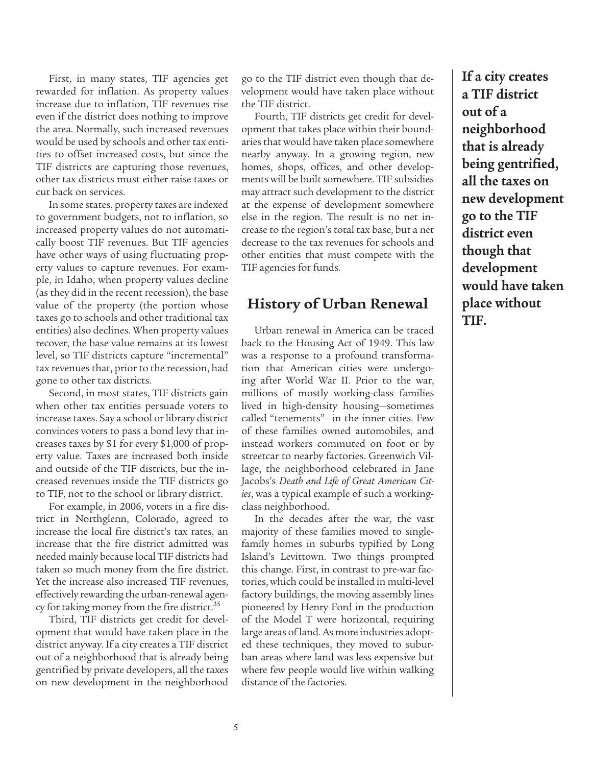First, in many states, TIF agencies get rewarded for inflation. As property values increase due to inflation, TIF revenues rise even if the district does nothing to improve the area. Normally, such increased revenues would be used by schools and other tax entities to offset increased costs, but since the TIF districts are capturing those revenues, other tax districts must either raise taxes or cut back on services.

In some states, property taxes are indexed to government budgets, not to inflation, so increased property values do not automatically boost TIF revenues. But TIF agencies have other ways of using fluctuating property values to capture revenues. For example, in Idaho, when property values decline (as they did in the recent recession), the base value of the property (the portion whose taxes go to schools and other traditional tax entities) also declines. When property values recover, the base value remains at its lowest level, so TIF districts capture "incremental" tax revenues that, prior to the recession, had gone to other tax districts.

Second, in most states, TIF districts gain when other tax entities persuade voters to increase taxes. Say a school or library district convinces voters to pass a bond levy that increases taxes by \$1 for every \$1,000 of property value. Taxes are increased both inside and outside of the TIF districts, but the increased revenues inside the TIF districts go to TIF, not to the school or library district.

For example, in 2006, voters in a fire district in Northglenn, Colorado, agreed to increase the local fire district's tax rates, an increase that the fire district admitted was needed mainly because local TIF districts had taken so much money from the fire district. Yet the increase also increased TIF revenues, effectively rewarding the urban-renewal agency for taking money from the fire district.<sup>35</sup>

Third, TIF districts get credit for development that would have taken place in the district anyway. If a city creates a TIF district out of a neighborhood that is already being gentrified by private developers, all the taxes on new development in the neighborhood go to the TIF district even though that development would have taken place without the TIF district.

Fourth, TIF districts get credit for development that takes place within their boundaries that would have taken place somewhere nearby anyway. In a growing region, new homes, shops, offices, and other developments will be built somewhere. TIF subsidies may attract such development to the district at the expense of development somewhere else in the region. The result is no net increase to the region's total tax base, but a net decrease to the tax revenues for schools and other entities that must compete with the TIF agencies for funds.

#### **History of Urban Renewal**

Urban renewal in America can be traced back to the Housing Act of 1949. This law was a response to a profound transformation that American cities were undergoing after World War II. Prior to the war, millions of mostly working-class families lived in high-density housing—sometimes called "tenements"—in the inner cities. Few of these families owned automobiles, and instead workers commuted on foot or by streetcar to nearby factories. Greenwich Village, the neighborhood celebrated in Jane Jacobs's *Death and Life of Great American Cities*, was a typical example of such a workingclass neighborhood.

In the decades after the war, the vast majority of these families moved to singlefamily homes in suburbs typified by Long Island's Levittown. Two things prompted this change. First, in contrast to pre-war factories, which could be installed in multi-level factory buildings, the moving assembly lines pioneered by Henry Ford in the production of the Model T were horizontal, requiring large areas of land. As more industries adopted these techniques, they moved to suburban areas where land was less expensive but where few people would live within walking distance of the factories.

**If a city creates a TIF district out of a neighborhood that is already being gentrified, all the taxes on new development go to the TIF district even though that development would have taken place without TIF.**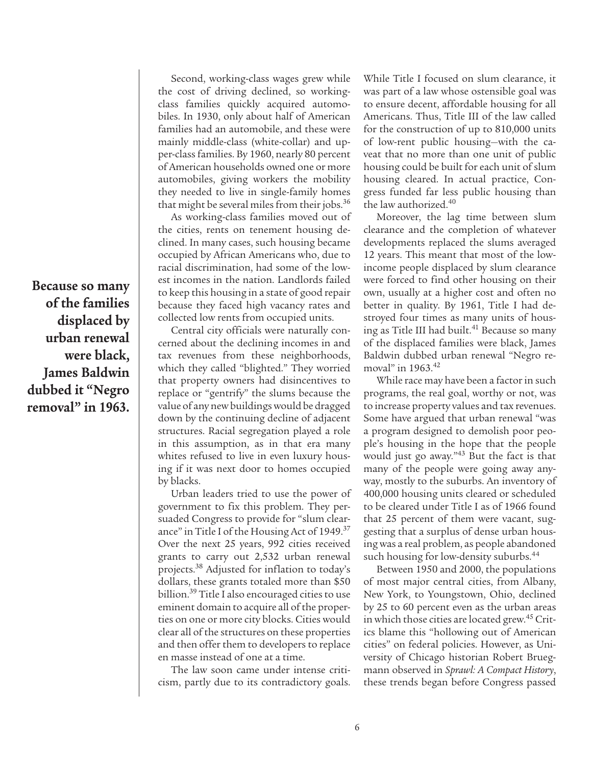**Because so many of the families displaced by urban renewal were black, James Baldwin dubbed it "Negro removal" in 1963.**

Second, working-class wages grew while the cost of driving declined, so workingclass families quickly acquired automobiles. In 1930, only about half of American families had an automobile, and these were mainly middle-class (white-collar) and upper-class families. By 1960, nearly 80 percent of American households owned one or more automobiles, giving workers the mobility they needed to live in single-family homes that might be several miles from their jobs.36

As working-class families moved out of the cities, rents on tenement housing declined. In many cases, such housing became occupied by African Americans who, due to racial discrimination, had some of the lowest incomes in the nation. Landlords failed to keep this housing in a state of good repair because they faced high vacancy rates and collected low rents from occupied units.

Central city officials were naturally concerned about the declining incomes in and tax revenues from these neighborhoods, which they called "blighted." They worried that property owners had disincentives to replace or "gentrify" the slums because the value of any new buildings would be dragged down by the continuing decline of adjacent structures. Racial segregation played a role in this assumption, as in that era many whites refused to live in even luxury housing if it was next door to homes occupied by blacks.

Urban leaders tried to use the power of government to fix this problem. They persuaded Congress to provide for "slum clearance" in Title I of the Housing Act of 1949.<sup>37</sup> Over the next 25 years, 992 cities received grants to carry out 2,532 urban renewal projects.38 Adjusted for inflation to today's dollars, these grants totaled more than \$50 billion.<sup>39</sup> Title I also encouraged cities to use eminent domain to acquire all of the properties on one or more city blocks. Cities would clear all of the structures on these properties and then offer them to developers to replace en masse instead of one at a time.

The law soon came under intense criticism, partly due to its contradictory goals. While Title I focused on slum clearance, it was part of a law whose ostensible goal was to ensure decent, affordable housing for all Americans. Thus, Title III of the law called for the construction of up to 810,000 units of low-rent public housing—with the caveat that no more than one unit of public housing could be built for each unit of slum housing cleared. In actual practice, Congress funded far less public housing than the law authorized.40

Moreover, the lag time between slum clearance and the completion of whatever developments replaced the slums averaged 12 years. This meant that most of the lowincome people displaced by slum clearance were forced to find other housing on their own, usually at a higher cost and often no better in quality. By 1961, Title I had destroyed four times as many units of housing as Title III had built.<sup>41</sup> Because so many of the displaced families were black, James Baldwin dubbed urban renewal "Negro removal" in  $1963.^{42}$ 

While race may have been a factor in such programs, the real goal, worthy or not, was to increase property values and tax revenues. Some have argued that urban renewal "was a program designed to demolish poor people's housing in the hope that the people would just go away."<sup>43</sup> But the fact is that many of the people were going away anyway, mostly to the suburbs. An inventory of 400,000 housing units cleared or scheduled to be cleared under Title I as of 1966 found that 25 percent of them were vacant, suggesting that a surplus of dense urban housing was a real problem, as people abandoned such housing for low-density suburbs.<sup>44</sup>

Between 1950 and 2000, the populations of most major central cities, from Albany, New York, to Youngstown, Ohio, declined by 25 to 60 percent even as the urban areas in which those cities are located grew.<sup>45</sup> Critics blame this "hollowing out of American cities" on federal policies. However, as University of Chicago historian Robert Bruegmann observed in *Sprawl: A Compact History*, these trends began before Congress passed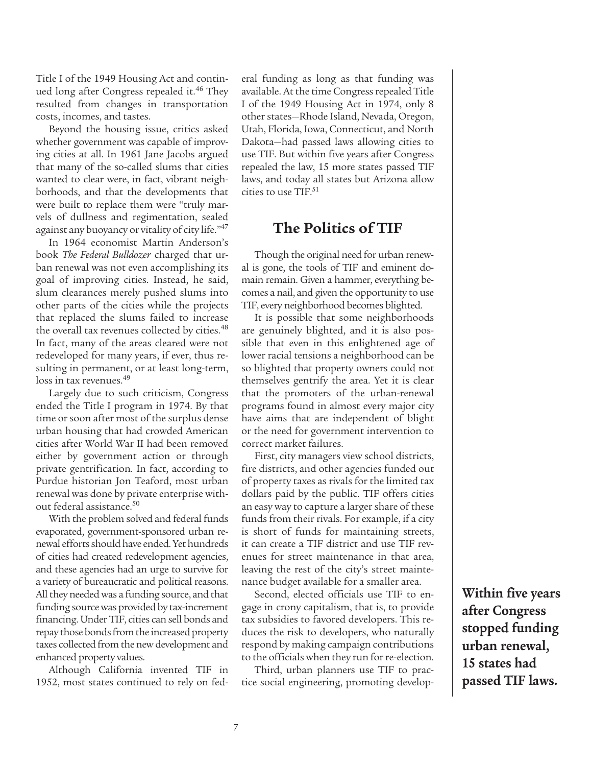Title I of the 1949 Housing Act and continued long after Congress repealed it.<sup>46</sup> They resulted from changes in transportation costs, incomes, and tastes.

Beyond the housing issue, critics asked whether government was capable of improving cities at all. In 1961 Jane Jacobs argued that many of the so-called slums that cities wanted to clear were, in fact, vibrant neighborhoods, and that the developments that were built to replace them were "truly marvels of dullness and regimentation, sealed against any buoyancy or vitality of city life."<sup>47</sup>

In 1964 economist Martin Anderson's book *The Federal Bulldozer* charged that urban renewal was not even accomplishing its goal of improving cities. Instead, he said, slum clearances merely pushed slums into other parts of the cities while the projects that replaced the slums failed to increase the overall tax revenues collected by cities.<sup>48</sup> In fact, many of the areas cleared were not redeveloped for many years, if ever, thus resulting in permanent, or at least long-term, loss in tax revenues.<sup>49</sup>

Largely due to such criticism, Congress ended the Title I program in 1974. By that time or soon after most of the surplus dense urban housing that had crowded American cities after World War II had been removed either by government action or through private gentrification. In fact, according to Purdue historian Jon Teaford, most urban renewal was done by private enterprise without federal assistance.<sup>50</sup>

With the problem solved and federal funds evaporated, government-sponsored urban renewal efforts should have ended. Yet hundreds of cities had created redevelopment agencies, and these agencies had an urge to survive for a variety of bureaucratic and political reasons. All they needed was a funding source, and that funding source was provided by tax-increment financing. Under TIF, cities can sell bonds and repay those bonds from the increased property taxes collected from the new development and enhanced property values.

Although California invented TIF in 1952, most states continued to rely on federal funding as long as that funding was available. At the time Congress repealed Title I of the 1949 Housing Act in 1974, only 8 other states—Rhode Island, Nevada, Oregon, Utah, Florida, Iowa, Connecticut, and North Dakota—had passed laws allowing cities to use TIF. But within five years after Congress repealed the law, 15 more states passed TIF laws, and today all states but Arizona allow cities to use  $TIF^{51}$ 

### **The Politics of TIF**

Though the original need for urban renewal is gone, the tools of TIF and eminent domain remain. Given a hammer, everything becomes a nail, and given the opportunity to use TIF, every neighborhood becomes blighted.

It is possible that some neighborhoods are genuinely blighted, and it is also possible that even in this enlightened age of lower racial tensions a neighborhood can be so blighted that property owners could not themselves gentrify the area. Yet it is clear that the promoters of the urban-renewal programs found in almost every major city have aims that are independent of blight or the need for government intervention to correct market failures.

First, city managers view school districts, fire districts, and other agencies funded out of property taxes as rivals for the limited tax dollars paid by the public. TIF offers cities an easy way to capture a larger share of these funds from their rivals. For example, if a city is short of funds for maintaining streets, it can create a TIF district and use TIF revenues for street maintenance in that area, leaving the rest of the city's street maintenance budget available for a smaller area.

Second, elected officials use TIF to engage in crony capitalism, that is, to provide tax subsidies to favored developers. This reduces the risk to developers, who naturally respond by making campaign contributions to the officials when they run for re-election.

Third, urban planners use TIF to practice social engineering, promoting develop**Within five years after Congress stopped funding urban renewal, 15 states had passed TIF laws.**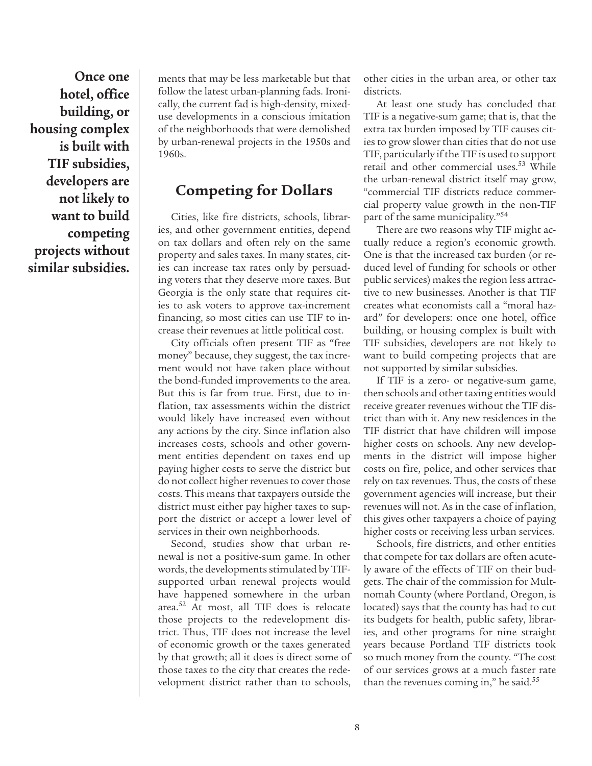**Once one hotel, office building, or housing complex is built with TIF subsidies, developers are not likely to want to build competing projects without similar subsidies.**

ments that may be less marketable but that follow the latest urban-planning fads. Ironically, the current fad is high-density, mixeduse developments in a conscious imitation of the neighborhoods that were demolished by urban-renewal projects in the 1950s and 1960s.

## **Competing for Dollars**

Cities, like fire districts, schools, libraries, and other government entities, depend on tax dollars and often rely on the same property and sales taxes. In many states, cities can increase tax rates only by persuading voters that they deserve more taxes. But Georgia is the only state that requires cities to ask voters to approve tax-increment financing, so most cities can use TIF to increase their revenues at little political cost.

City officials often present TIF as "free money" because, they suggest, the tax increment would not have taken place without the bond-funded improvements to the area. But this is far from true. First, due to inflation, tax assessments within the district would likely have increased even without any actions by the city. Since inflation also increases costs, schools and other government entities dependent on taxes end up paying higher costs to serve the district but do not collect higher revenues to cover those costs. This means that taxpayers outside the district must either pay higher taxes to support the district or accept a lower level of services in their own neighborhoods.

Second, studies show that urban renewal is not a positive-sum game. In other words, the developments stimulated by TIFsupported urban renewal projects would have happened somewhere in the urban area.52 At most, all TIF does is relocate those projects to the redevelopment district. Thus, TIF does not increase the level of economic growth or the taxes generated by that growth; all it does is direct some of those taxes to the city that creates the redevelopment district rather than to schools,

other cities in the urban area, or other tax districts.

At least one study has concluded that TIF is a negative-sum game; that is, that the extra tax burden imposed by TIF causes cities to grow slower than cities that do not use TIF, particularly if the TIF is used to support retail and other commercial uses.53 While the urban-renewal district itself may grow, "commercial TIF districts reduce commercial property value growth in the non-TIF part of the same municipality."54

There are two reasons why TIF might actually reduce a region's economic growth. One is that the increased tax burden (or reduced level of funding for schools or other public services) makes the region less attractive to new businesses. Another is that TIF creates what economists call a "moral hazard" for developers: once one hotel, office building, or housing complex is built with TIF subsidies, developers are not likely to want to build competing projects that are not supported by similar subsidies.

If TIF is a zero- or negative-sum game, then schools and other taxing entities would receive greater revenues without the TIF district than with it. Any new residences in the TIF district that have children will impose higher costs on schools. Any new developments in the district will impose higher costs on fire, police, and other services that rely on tax revenues. Thus, the costs of these government agencies will increase, but their revenues will not. As in the case of inflation, this gives other taxpayers a choice of paying higher costs or receiving less urban services.

Schools, fire districts, and other entities that compete for tax dollars are often acutely aware of the effects of TIF on their budgets. The chair of the commission for Multnomah County (where Portland, Oregon, is located) says that the county has had to cut its budgets for health, public safety, libraries, and other programs for nine straight years because Portland TIF districts took so much money from the county. "The cost of our services grows at a much faster rate than the revenues coming in," he said.<sup>55</sup>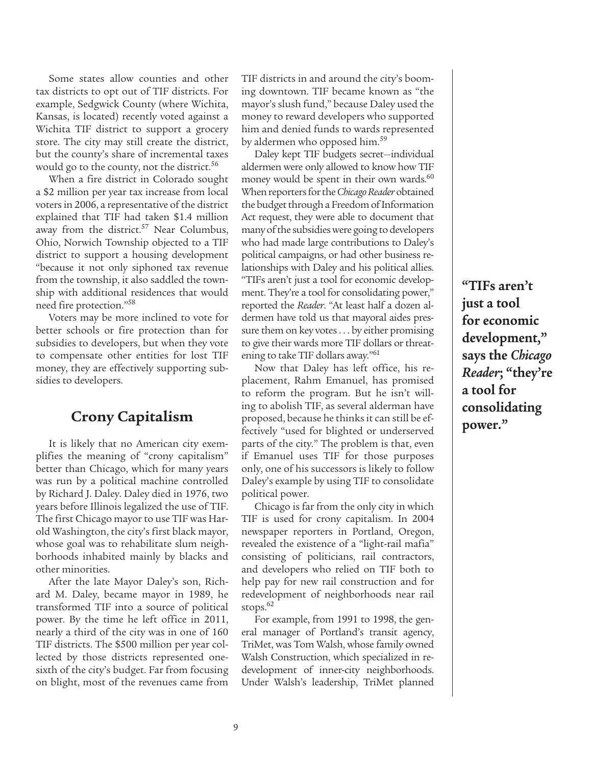Some states allow counties and other tax districts to opt out of TIF districts. For example, Sedgwick County (where Wichita, Kansas, is located) recently voted against a Wichita TIF district to support a grocery store. The city may still create the district, but the county's share of incremental taxes would go to the county, not the district.<sup>56</sup>

When a fire district in Colorado sought a \$2 million per year tax increase from local voters in 2006, a representative of the district explained that TIF had taken \$1.4 million away from the district.<sup>57</sup> Near Columbus, Ohio, Norwich Township objected to a TIF district to support a housing development "because it not only siphoned tax revenue from the township, it also saddled the township with additional residences that would need fire protection."58

Voters may be more inclined to vote for better schools or fire protection than for subsidies to developers, but when they vote to compensate other entities for lost TIF money, they are effectively supporting subsidies to developers.

## **Crony Capitalism**

It is likely that no American city exemplifies the meaning of "crony capitalism" better than Chicago, which for many years was run by a political machine controlled by Richard J. Daley. Daley died in 1976, two years before Illinois legalized the use of TIF. The first Chicago mayor to use TIF was Harold Washington, the city's first black mayor, whose goal was to rehabilitate slum neighborhoods inhabited mainly by blacks and other minorities.

After the late Mayor Daley's son, Richard M. Daley, became mayor in 1989, he transformed TIF into a source of political power. By the time he left office in 2011, nearly a third of the city was in one of 160 TIF districts. The \$500 million per year collected by those districts represented onesixth of the city's budget. Far from focusing on blight, most of the revenues came from TIF districts in and around the city's booming downtown. TIF became known as "the mayor's slush fund," because Daley used the money to reward developers who supported him and denied funds to wards represented by aldermen who opposed him.<sup>59</sup>

Daley kept TIF budgets secret—individual aldermen were only allowed to know how TIF money would be spent in their own wards.<sup>60</sup> When reporters for the *Chicago Reader* obtained the budget through a Freedom of Information Act request, they were able to document that many of the subsidies were going to developers who had made large contributions to Daley's political campaigns, or had other business relationships with Daley and his political allies. "TIFs aren't just a tool for economic development. They're a tool for consolidating power," reported the *Reader*. "At least half a dozen aldermen have told us that mayoral aides pressure them on key votes . . . by either promising to give their wards more TIF dollars or threatening to take TIF dollars away."61

Now that Daley has left office, his replacement, Rahm Emanuel, has promised to reform the program. But he isn't willing to abolish TIF, as several alderman have proposed, because he thinks it can still be effectively "used for blighted or underserved parts of the city." The problem is that, even if Emanuel uses TIF for those purposes only, one of his successors is likely to follow Daley's example by using TIF to consolidate political power.

Chicago is far from the only city in which TIF is used for crony capitalism. In 2004 newspaper reporters in Portland, Oregon, revealed the existence of a "light-rail mafia" consisting of politicians, rail contractors, and developers who relied on TIF both to help pay for new rail construction and for redevelopment of neighborhoods near rail stops.<sup>62</sup>

For example, from 1991 to 1998, the general manager of Portland's transit agency, TriMet, was Tom Walsh, whose family owned Walsh Construction, which specialized in redevelopment of inner-city neighborhoods. Under Walsh's leadership, TriMet planned **"TIFs aren't just a tool for economic development," says the** *Chicago Reader***; "they're a tool for consolidating power."**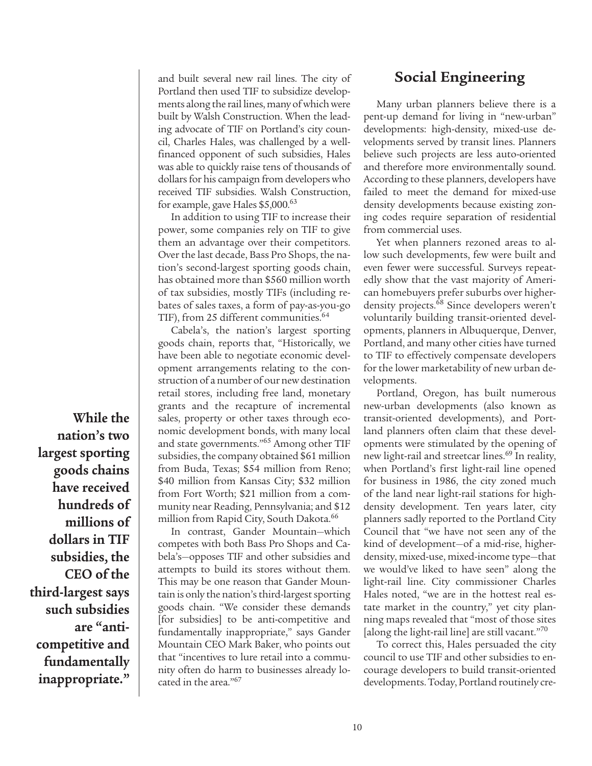and built several new rail lines. The city of Portland then used TIF to subsidize developments along the rail lines, many of which were built by Walsh Construction. When the leading advocate of TIF on Portland's city council, Charles Hales, was challenged by a wellfinanced opponent of such subsidies, Hales was able to quickly raise tens of thousands of dollars for his campaign from developers who received TIF subsidies. Walsh Construction, for example, gave Hales \$5,000.63

In addition to using TIF to increase their power, some companies rely on TIF to give them an advantage over their competitors. Over the last decade, Bass Pro Shops, the nation's second-largest sporting goods chain, has obtained more than \$560 million worth of tax subsidies, mostly TIFs (including rebates of sales taxes, a form of pay-as-you-go TIF), from 25 different communities.<sup>64</sup>

Cabela's, the nation's largest sporting goods chain, reports that, "Historically, we have been able to negotiate economic development arrangements relating to the construction of a number of our new destination retail stores, including free land, monetary grants and the recapture of incremental sales, property or other taxes through economic development bonds, with many local and state governments."65 Among other TIF subsidies, the company obtained \$61 million from Buda, Texas; \$54 million from Reno; \$40 million from Kansas City; \$32 million from Fort Worth; \$21 million from a community near Reading, Pennsylvania; and \$12 million from Rapid City, South Dakota.<sup>66</sup>

In contrast, Gander Mountain—which competes with both Bass Pro Shops and Cabela's—opposes TIF and other subsidies and attempts to build its stores without them. This may be one reason that Gander Mountain is only the nation's third-largest sporting goods chain. "We consider these demands [for subsidies] to be anti-competitive and fundamentally inappropriate," says Gander Mountain CEO Mark Baker, who points out that "incentives to lure retail into a community often do harm to businesses already located in the area."67

## **Social Engineering**

Many urban planners believe there is a pent-up demand for living in "new-urban" developments: high-density, mixed-use developments served by transit lines. Planners believe such projects are less auto-oriented and therefore more environmentally sound. According to these planners, developers have failed to meet the demand for mixed-use density developments because existing zoning codes require separation of residential from commercial uses.

Yet when planners rezoned areas to allow such developments, few were built and even fewer were successful. Surveys repeatedly show that the vast majority of American homebuyers prefer suburbs over higherdensity projects.<sup>68</sup> Since developers weren't voluntarily building transit-oriented developments, planners in Albuquerque, Denver, Portland, and many other cities have turned to TIF to effectively compensate developers for the lower marketability of new urban developments.

Portland, Oregon, has built numerous new-urban developments (also known as transit-oriented developments), and Portland planners often claim that these developments were stimulated by the opening of new light-rail and streetcar lines.<sup>69</sup> In reality, when Portland's first light-rail line opened for business in 1986, the city zoned much of the land near light-rail stations for highdensity development. Ten years later, city planners sadly reported to the Portland City Council that "we have not seen any of the kind of development—of a mid-rise, higherdensity, mixed-use, mixed-income type—that we would've liked to have seen" along the light-rail line. City commissioner Charles Hales noted, "we are in the hottest real estate market in the country," yet city planning maps revealed that "most of those sites [along the light-rail line] are still vacant. $170$ 

To correct this, Hales persuaded the city council to use TIF and other subsidies to encourage developers to build transit-oriented developments. Today, Portland routinely cre-

**While the nation's two largest sporting goods chains have received hundreds of millions of dollars in TIF subsidies, the CEO of the third-largest says such subsidies are "anticompetitive and fundamentally inappropriate."**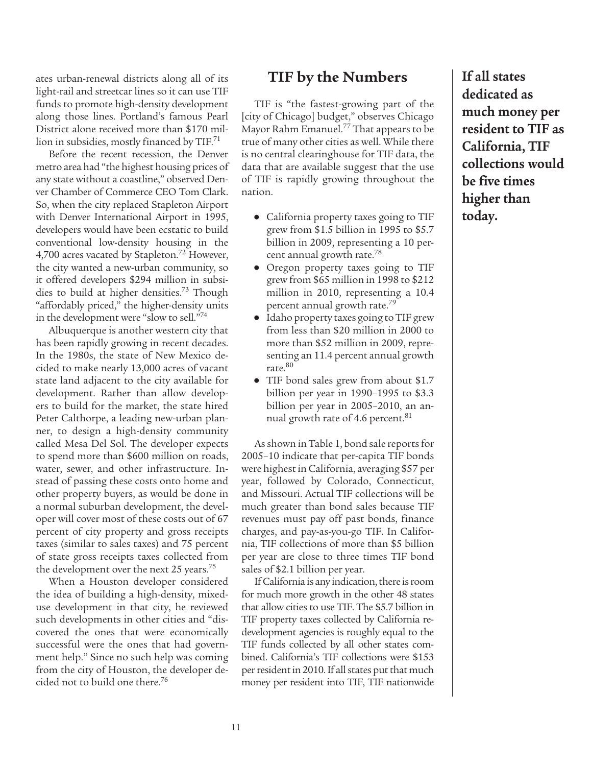ates urban-renewal districts along all of its light-rail and streetcar lines so it can use TIF funds to promote high-density development along those lines. Portland's famous Pearl District alone received more than \$170 million in subsidies, mostly financed by  $TIF.^{71}$ 

Before the recent recession, the Denver metro area had "the highest housing prices of any state without a coastline," observed Denver Chamber of Commerce CEO Tom Clark. So, when the city replaced Stapleton Airport with Denver International Airport in 1995, developers would have been ecstatic to build conventional low-density housing in the 4,700 acres vacated by Stapleton.<sup>72</sup> However, the city wanted a new-urban community, so it offered developers \$294 million in subsidies to build at higher densities.<sup>73</sup> Though "affordably priced," the higher-density units in the development were "slow to sell."74

Albuquerque is another western city that has been rapidly growing in recent decades. In the 1980s, the state of New Mexico decided to make nearly 13,000 acres of vacant state land adjacent to the city available for development. Rather than allow developers to build for the market, the state hired Peter Calthorpe, a leading new-urban planner, to design a high-density community called Mesa Del Sol. The developer expects to spend more than \$600 million on roads, water, sewer, and other infrastructure. Instead of passing these costs onto home and other property buyers, as would be done in a normal suburban development, the developer will cover most of these costs out of 67 percent of city property and gross receipts taxes (similar to sales taxes) and 75 percent of state gross receipts taxes collected from the development over the next 25 years.<sup>75</sup>

When a Houston developer considered the idea of building a high-density, mixeduse development in that city, he reviewed such developments in other cities and "discovered the ones that were economically successful were the ones that had government help." Since no such help was coming from the city of Houston, the developer decided not to build one there.76

#### **TIF by the Numbers**

TIF is "the fastest-growing part of the [city of Chicago] budget," observes Chicago Mayor Rahm Emanuel.77 That appears to be true of many other cities as well. While there is no central clearinghouse for TIF data, the data that are available suggest that the use of TIF is rapidly growing throughout the nation.

- **●** California property taxes going to TIF grew from \$1.5 billion in 1995 to \$5.7 billion in 2009, representing a 10 percent annual growth rate.78
- **●** Oregon property taxes going to TIF grew from \$65 million in 1998 to \$212 million in 2010, representing a 10.4 percent annual growth rate.79
- **●** Idaho property taxes going to TIF grew from less than \$20 million in 2000 to more than \$52 million in 2009, representing an 11.4 percent annual growth rate.80
- **●** TIF bond sales grew from about \$1.7 billion per year in 1990–1995 to \$3.3 billion per year in 2005–2010, an annual growth rate of 4.6 percent.<sup>81</sup>

As shown in Table 1, bond sale reports for 2005–10 indicate that per-capita TIF bonds were highest in California, averaging \$57 per year, followed by Colorado, Connecticut, and Missouri. Actual TIF collections will be much greater than bond sales because TIF revenues must pay off past bonds, finance charges, and pay-as-you-go TIF. In California, TIF collections of more than \$5 billion per year are close to three times TIF bond sales of \$2.1 billion per year.

If California is any indication, there is room for much more growth in the other 48 states that allow cities to use TIF. The \$5.7 billion in TIF property taxes collected by California redevelopment agencies is roughly equal to the TIF funds collected by all other states combined. California's TIF collections were \$153 per resident in 2010. If all states put that much money per resident into TIF, TIF nationwide

**If all states dedicated as much money per resident to TIF as California, TIF collections would be five times higher than today.**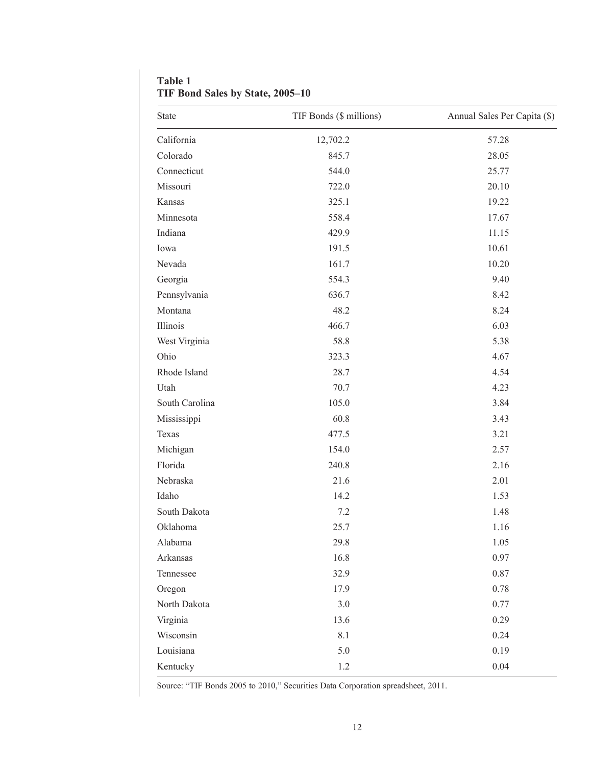| <b>State</b>   | TIF Bonds (\$ millions) | Annual Sales Per Capita (\$) |
|----------------|-------------------------|------------------------------|
| California     | 12,702.2                | 57.28                        |
| Colorado       | 845.7                   | 28.05                        |
| Connecticut    | 544.0                   | 25.77                        |
| Missouri       | 722.0                   | 20.10                        |
| Kansas         | 325.1                   | 19.22                        |
| Minnesota      | 558.4                   | 17.67                        |
| Indiana        | 429.9                   | 11.15                        |
| Iowa           | 191.5                   | 10.61                        |
| Nevada         | 161.7                   | 10.20                        |
| Georgia        | 554.3                   | 9.40                         |
| Pennsylvania   | 636.7                   | 8.42                         |
| Montana        | 48.2                    | 8.24                         |
| Illinois       | 466.7                   | 6.03                         |
| West Virginia  | 58.8                    | 5.38                         |
| Ohio           | 323.3                   | 4.67                         |
| Rhode Island   | 28.7                    | 4.54                         |
| Utah           | 70.7                    | 4.23                         |
| South Carolina | 105.0                   | 3.84                         |
| Mississippi    | 60.8                    | 3.43                         |
| Texas          | 477.5                   | 3.21                         |
| Michigan       | 154.0                   | 2.57                         |
| Florida        | 240.8                   | 2.16                         |
| Nebraska       | 21.6                    | 2.01                         |
| Idaho          | 14.2                    | 1.53                         |
| South Dakota   | 7.2                     | 1.48                         |
| Oklahoma       | 25.7                    | 1.16                         |
| Alabama        | 29.8                    | 1.05                         |
| Arkansas       | 16.8                    | 0.97                         |
| Tennessee      | 32.9                    | 0.87                         |
| Oregon         | 17.9                    | 0.78                         |
| North Dakota   | $3.0$                   | 0.77                         |
| Virginia       | 13.6                    | 0.29                         |
| Wisconsin      | 8.1                     | 0.24                         |
| Louisiana      | 5.0                     | 0.19                         |
| Kentucky       | 1.2                     | 0.04                         |

**Table 1 TIF Bond Sales by State, 2005–10**

Source: "TIF Bonds 2005 to 2010," Securities Data Corporation spreadsheet, 2011.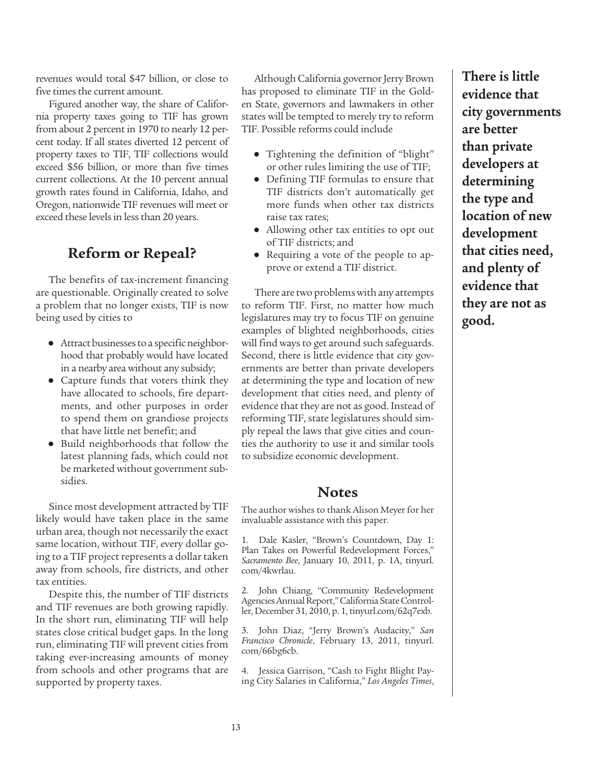revenues would total \$47 billion, or close to five times the current amount.

Figured another way, the share of California property taxes going to TIF has grown from about 2 percent in 1970 to nearly 12 percent today. If all states diverted 12 percent of property taxes to TIF, TIF collections would exceed \$56 billion, or more than five times current collections. At the 10 percent annual growth rates found in California, Idaho, and Oregon, nationwide TIF revenues will meet or exceed these levels in less than 20 years.

## **Reform or Repeal?**

The benefits of tax-increment financing are questionable. Originally created to solve a problem that no longer exists, TIF is now being used by cities to

- **●** Attract businesses to a specific neighborhood that probably would have located in a nearby area without any subsidy;
- **●** Capture funds that voters think they have allocated to schools, fire departments, and other purposes in order to spend them on grandiose projects that have little net benefit; and
- **●** Build neighborhoods that follow the latest planning fads, which could not be marketed without government subsidies.

Since most development attracted by TIF likely would have taken place in the same urban area, though not necessarily the exact same location, without TIF, every dollar going to a TIF project represents a dollar taken away from schools, fire districts, and other tax entities.

Despite this, the number of TIF districts and TIF revenues are both growing rapidly. In the short run, eliminating TIF will help states close critical budget gaps. In the long run, eliminating TIF will prevent cities from taking ever-increasing amounts of money from schools and other programs that are supported by property taxes.

Although California governor Jerry Brown has proposed to eliminate TIF in the Golden State, governors and lawmakers in other states will be tempted to merely try to reform TIF. Possible reforms could include

- **●** Tightening the definition of "blight" or other rules limiting the use of TIF;
- **●** Defining TIF formulas to ensure that TIF districts don't automatically get more funds when other tax districts raise tax rates;
- **●** Allowing other tax entities to opt out of TIF districts; and
- **●** Requiring a vote of the people to approve or extend a TIF district.

There are two problems with any attempts to reform TIF. First, no matter how much legislatures may try to focus TIF on genuine examples of blighted neighborhoods, cities will find ways to get around such safeguards. Second, there is little evidence that city governments are better than private developers at determining the type and location of new development that cities need, and plenty of evidence that they are not as good. Instead of reforming TIF, state legislatures should simply repeal the laws that give cities and counties the authority to use it and similar tools to subsidize economic development.

#### **Notes**

The author wishes to thank Alison Meyer for her invaluable assistance with this paper.

1. Dale Kasler, "Brown's Countdown, Day 1: Plan Takes on Powerful Redevelopment Forces," *Sacramento Bee*, January 10, 2011, p. 1A, tinyurl. com/4kwrlau.

2. John Chiang, "Community Redevelopment Agencies Annual Report," California State Controller, December 31, 2010, p. 1, tinyurl.com/62q7exb.

3. John Diaz, "Jerry Brown's Audacity," *San Francisco Chronicle*, February 13, 2011, tinyurl. com/66bg6cb.

4. Jessica Garrison, "Cash to Fight Blight Paying City Salaries in California," *Los Angeles Times*, **There is little evidence that city governments are better than private developers at determining the type and location of new development that cities need, and plenty of evidence that they are not as good.**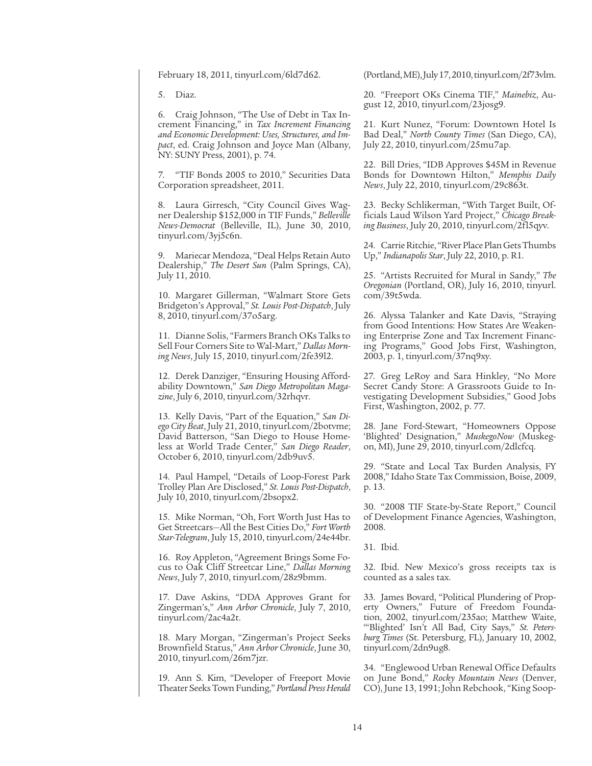February 18, 2011, tinyurl.com/6ld7d62.

5. Diaz.

6. Craig Johnson, "The Use of Debt in Tax Increment Financing," in *Tax Increment Financing and Economic Development: Uses, Structures, and Impact*, ed. Craig Johnson and Joyce Man (Albany, NY: SUNY Press, 2001), p. 74.

7. "TIF Bonds 2005 to 2010," Securities Data Corporation spreadsheet, 2011.

8. Laura Girresch, "City Council Gives Wagner Dealership \$152,000 in TIF Funds," *Belleville News-Democrat* (Belleville, IL), June 30, 2010, tinyurl.com/3yj5c6n.

9. Mariecar Mendoza, "Deal Helps Retain Auto Dealership," *The Desert Sun* (Palm Springs, CA), July 11, 2010.

10. Margaret Gillerman, "Walmart Store Gets Bridgeton's Approval," *St. Louis Post-Dispatch*, July 8, 2010, tinyurl.com/37o5arg.

11. Dianne Solis, "Farmers Branch OKs Talks to Sell Four Corners Site to Wal-Mart," *Dallas Morning News*, July 15, 2010, tinyurl.com/2fe39l2.

12. Derek Danziger, "Ensuring Housing Affordability Downtown," *San Diego Metropolitan Magazine*, July 6, 2010, tinyurl.com/32rhqvr.

13. Kelly Davis, "Part of the Equation," *San Diego City Beat*, July 21, 2010, tinyurl.com/2botvme; David Batterson, "San Diego to House Homeless at World Trade Center," *San Diego Reader*, October 6, 2010, tinyurl.com/2db9uv5.

14. Paul Hampel, "Details of Loop-Forest Park Trolley Plan Are Disclosed," *St. Louis Post-Dispatch*, July 10, 2010, tinyurl.com/2bsopx2.

15. Mike Norman, "Oh, Fort Worth Just Has to Get Streetcars—All the Best Cities Do," *Fort Worth Star-Telegram*, July 15, 2010, tinyurl.com/24e44br.

16. Roy Appleton, "Agreement Brings Some Focus to Oak Cliff Streetcar Line," *Dallas Morning News*, July 7, 2010, tinyurl.com/28z9bmm.

17. Dave Askins, "DDA Approves Grant for Zingerman's," *Ann Arbor Chronicle*, July 7, 2010, tinyurl.com/2ac4a2t.

18. Mary Morgan, "Zingerman's Project Seeks Brownfield Status," *Ann Arbor Chronicle*, June 30, 2010, tinyurl.com/26m7jzr.

19. Ann S. Kim, "Developer of Freeport Movie Theater Seeks Town Funding," *Portland Press Herald* (Portland, ME), July 17, 2010, tinyurl.com/2f73vlm.

20. "Freeport OKs Cinema TIF," *Mainebiz*, August 12, 2010, tinyurl.com/23josg9.

21. Kurt Nunez, "Forum: Downtown Hotel Is Bad Deal," *North County Times* (San Diego, CA), July 22, 2010, tinyurl.com/25mu7ap.

22. Bill Dries, "IDB Approves \$45M in Revenue Bonds for Downtown Hilton," *Memphis Daily News*, July 22, 2010, tinyurl.com/29c863t.

23. Becky Schlikerman, "With Target Built, Officials Laud Wilson Yard Project," *Chicago Breaking Business*, July 20, 2010, tinyurl.com/2fl5qyv.

24. Carrie Ritchie, "River Place Plan Gets Thumbs Up," *Indianapolis Star*, July 22, 2010, p. R1.

25. "Artists Recruited for Mural in Sandy," *The Oregonian* (Portland, OR), July 16, 2010, tinyurl. com/39t5wda.

26. Alyssa Talanker and Kate Davis, "Straying from Good Intentions: How States Are Weakening Enterprise Zone and Tax Increment Financing Programs," Good Jobs First, Washington, 2003, p. 1, tinyurl.com/37nq9xy.

27. Greg LeRoy and Sara Hinkley, "No More Secret Candy Store: A Grassroots Guide to Investigating Development Subsidies," Good Jobs First, Washington, 2002, p. 77.

28. Jane Ford-Stewart, "Homeowners Oppose 'Blighted' Designation," *MuskegoNow* (Muskegon, MI), June 29, 2010, tinyurl.com/2dlcfcq.

29. "State and Local Tax Burden Analysis, FY 2008," Idaho State Tax Commission, Boise, 2009, p. 13.

30. "2008 TIF State-by-State Report," Council of Development Finance Agencies, Washington, 2008.

31. Ibid.

32. Ibid. New Mexico's gross receipts tax is counted as a sales tax.

33. James Bovard, "Political Plundering of Property Owners," Future of Freedom Foundation, 2002, tinyurl.com/235ao; Matthew Waite, "'Blighted' Isn't All Bad, City Says," *St. Petersburg Times* (St. Petersburg, FL), January 10, 2002, tinyurl.com/2dn9ug8.

34. "Englewood Urban Renewal Office Defaults on June Bond," *Rocky Mountain News* (Denver, CO), June 13, 1991; John Rebchook, "King Soop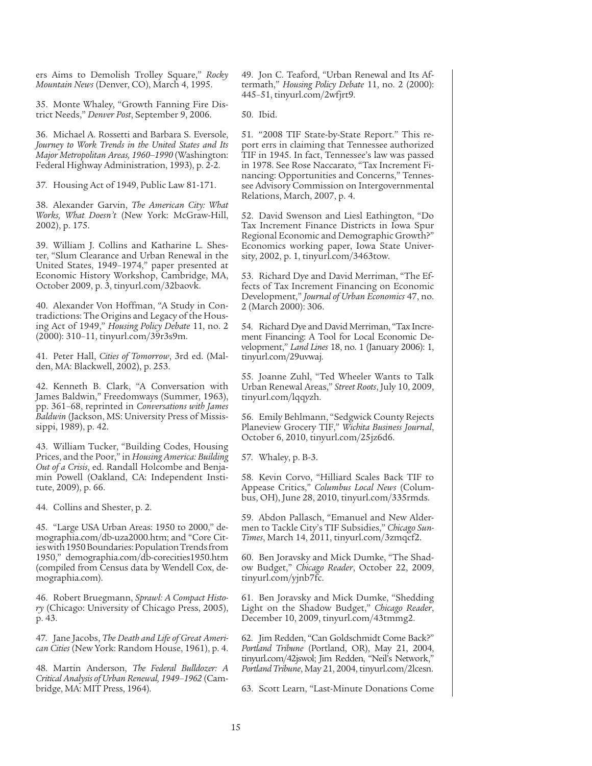ers Aims to Demolish Trolley Square," *Rocky Mountain News* (Denver, CO), March 4, 1995.

35. Monte Whaley, "Growth Fanning Fire District Needs," *Denver Post*, September 9, 2006.

36. Michael A. Rossetti and Barbara S. Eversole, *Journey to Work Trends in the United States and Its Major Metropolitan Areas, 1960–1990* (Washington: Federal Highway Administration, 1993), p. 2-2.

37. Housing Act of 1949, Public Law 81-171.

38. Alexander Garvin, *The American City: What Works, What Doesn't* (New York: McGraw-Hill, 2002), p. 175.

39. William J. Collins and Katharine L. Shester, "Slum Clearance and Urban Renewal in the United States, 1949–1974," paper presented at Economic History Workshop, Cambridge, MA, October 2009, p. 3, tinyurl.com/32baovk.

40. Alexander Von Hoffman, "A Study in Contradictions: The Origins and Legacy of the Housing Act of 1949," *Housing Policy Debate* 11, no. 2 (2000): 310–11, tinyurl.com/39r3s9m.

41. Peter Hall, *Cities of Tomorrow*, 3rd ed. (Malden, MA: Blackwell, 2002), p. 253.

42. Kenneth B. Clark, "A Conversation with James Baldwin," Freedomways (Summer, 1963), pp. 361–68, reprinted in *Conversations with James Baldwin* (Jackson, MS: University Press of Mississippi, 1989), p. 42.

43. William Tucker, "Building Codes, Housing Prices, and the Poor," in *Housing America: Building Out of a Crisis*, ed. Randall Holcombe and Benjamin Powell (Oakland, CA: Independent Institute, 2009), p. 66.

44. Collins and Shester, p. 2.

45. "Large USA Urban Areas: 1950 to 2000," demographia.com/db-uza2000.htm; and "Core Cities with 1950 Boundaries: Population Trends from 1950," demographia.com/db-corecities1950.htm (compiled from Census data by Wendell Cox, demographia.com).

46. Robert Bruegmann, *Sprawl: A Compact History* (Chicago: University of Chicago Press, 2005), p. 43.

47. Jane Jacobs, *The Death and Life of Great American Cities* (New York: Random House, 1961), p. 4.

48. Martin Anderson, *The Federal Bulldozer: A Critical Analysis of Urban Renewal, 1949–1962* (Cambridge, MA: MIT Press, 1964).

49. Jon C. Teaford, "Urban Renewal and Its Aftermath," *Housing Policy Debate* 11, no. 2 (2000): 445–51, tinyurl.com/2wfjrt9.

50. Ibid.

51. "2008 TIF State-by-State Report." This report errs in claiming that Tennessee authorized TIF in 1945. In fact, Tennessee's law was passed in 1978. See Rose Naccarato, "Tax Increment Financing: Opportunities and Concerns," Tennessee Advisory Commission on Intergovernmental Relations, March, 2007, p. 4.

52. David Swenson and Liesl Eathington, "Do Tax Increment Finance Districts in Iowa Spur Regional Economic and Demographic Growth?" Economics working paper, Iowa State University, 2002, p. 1, tinyurl.com/3463tow.

53. Richard Dye and David Merriman, "The Effects of Tax Increment Financing on Economic Development," *Journal of Urban Economics* 47, no. 2 (March 2000): 306.

54. Richard Dye and David Merriman, "Tax Increment Financing: A Tool for Local Economic Development," *Land Lines* 18, no. 1 (January 2006): 1, tinyurl.com/29uvwaj.

55. Joanne Zuhl, "Ted Wheeler Wants to Talk Urban Renewal Areas," *Street Roots*, July 10, 2009, tinyurl.com/lqqyzh.

56. Emily Behlmann, "Sedgwick County Rejects Planeview Grocery TIF," *Wichita Business Journal*, October 6, 2010, tinyurl.com/25jz6d6.

57. Whaley, p. B-3.

58. Kevin Corvo, "Hilliard Scales Back TIF to Appease Critics," *Columbus Local News* (Columbus, OH), June 28, 2010, tinyurl.com/335rmds.

59. Abdon Pallasch, "Emanuel and New Aldermen to Tackle City's TIF Subsidies," *Chicago Sun-Times*, March 14, 2011, tinyurl.com/3zmqcf2.

60. Ben Joravsky and Mick Dumke, "The Shadow Budget," *Chicago Reader*, October 22, 2009, tinyurl.com/yjnb7fc.

61. Ben Joravsky and Mick Dumke, "Shedding Light on the Shadow Budget," *Chicago Reader*, December 10, 2009, tinyurl.com/43tmmg2.

62. Jim Redden, "Can Goldschmidt Come Back?" *Portland Tribune* (Portland, OR), May 21, 2004, tinyurl.com/42jswol; Jim Redden, "Neil's Network," *Portland Tribune*, May 21, 2004, tinyurl.com/2lcesn.

63. Scott Learn, "Last-Minute Donations Come